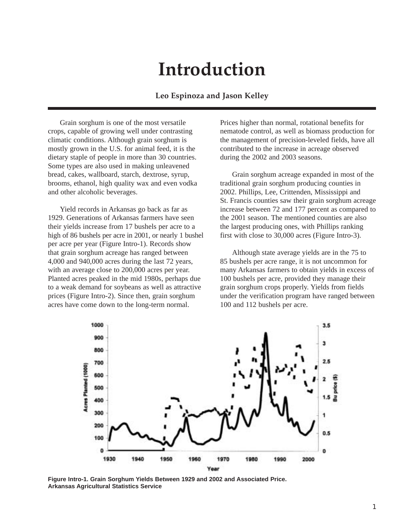## **Introduction**

## **Leo Espinoza and Jason Kelley**

Grain sorghum is one of the most versatile crops, capable of growing well under contrasting climatic conditions. Although grain sorghum is mostly grown in the U.S. for animal feed, it is the dietary staple of people in more than 30 countries. Some types are also used in making unleavened bread, cakes, wallboard, starch, dextrose, syrup, brooms, ethanol, high quality wax and even vodka and other alcoholic beverages.

Yield records in Arkansas go back as far as 1929. Generations of Arkansas farmers have seen their yields increase from 17 bushels per acre to a high of 86 bushels per acre in 2001, or nearly 1 bushel per acre per year (Figure Intro-1). Records show that grain sorghum acreage has ranged between 4,000 and 940,000 acres during the last 72 years, with an average close to 200,000 acres per year. Planted acres peaked in the mid 1980s, perhaps due to a weak demand for soybeans as well as attractive prices (Figure Intro-2). Since then, grain sorghum acres have come down to the long-term normal.

Prices higher than normal, rotational benefits for nematode control, as well as biomass production for the management of precision-leveled fields, have all contributed to the increase in acreage observed during the 2002 and 2003 seasons.

Grain sorghum acreage expanded in most of the traditional grain sorghum producing counties in 2002. Phillips, Lee, Crittenden, Mississippi and St. Francis counties saw their grain sorghum acreage increase between 72 and 177 percent as compared to the 2001 season. The mentioned counties are also the largest producing ones, with Phillips ranking first with close to 30,000 acres (Figure Intro-3).

Although state average yields are in the 75 to 85 bushels per acre range, it is not uncommon for many Arkansas farmers to obtain yields in excess of 100 bushels per acre, provided they manage their grain sorghum crops properly. Yields from fields under the verification program have ranged between 100 and 112 bushels per acre.



**Figure Intro-1. Grain Sorghum Yields Between 1929 and 2002 and Associated Price. Arkansas Agricultural Statistics Service**